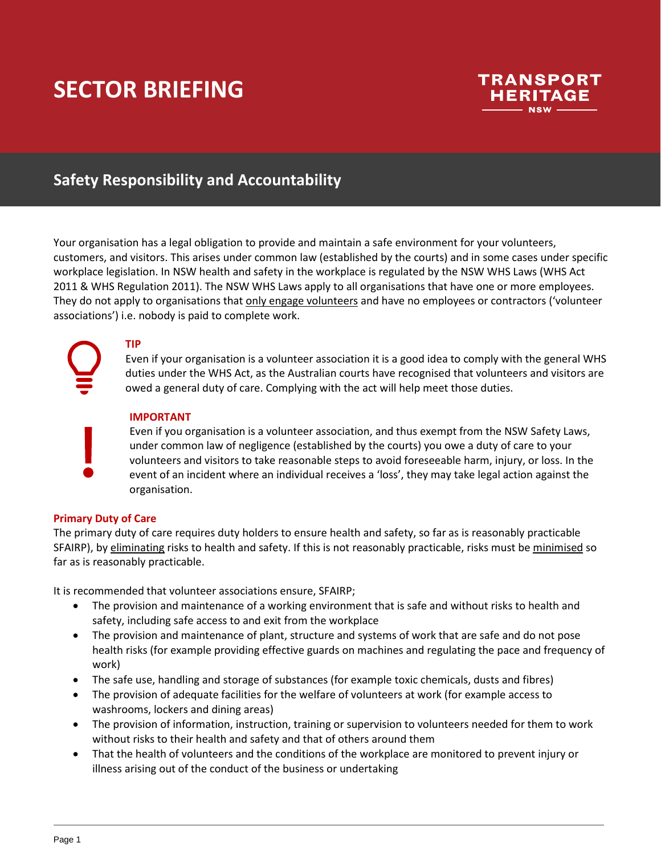## **SECTOR BRIEFING**



## **Safety Responsibility and Accountability**

Your organisation has a legal obligation to provide and maintain a safe environment for your volunteers, customers, and visitors. This arises under common law (established by the courts) and in some cases under specific workplace legislation. In NSW health and safety in the workplace is regulated by the NSW WHS Laws (WHS Act 2011 & WHS Regulation 2011). The NSW WHS Laws apply to all organisations that have one or more employees. They do not apply to organisations that only engage volunteers and have no employees or contractors ('volunteer associations') i.e. nobody is paid to complete work.

### **TIP**

Even if your organisation is a volunteer association it is a good idea to comply with the general WHS duties under the WHS Act, as the Australian courts have recognised that volunteers and visitors are owed a general duty of care. Complying with the act will help meet those duties.

#### **IMPORTANT**

Even if you organisation is a volunteer association, and thus exempt from the NSW Safety Laws, under common law of negligence (established by the courts) you owe a duty of care to your volunteers and visitors to take reasonable steps to avoid foreseeable harm, injury, or loss. In the event of an incident where an individual receives a 'loss', they may take legal action against the organisation.

#### **Primary Duty of Care**

The primary duty of care requires duty holders to ensure health and safety, so far as is reasonably practicable SFAIRP), by eliminating risks to health and safety. If this is not reasonably practicable, risks must be minimised so far as is reasonably practicable.

It is recommended that volunteer associations ensure, SFAIRP;

- The provision and maintenance of a working environment that is safe and without risks to health and safety, including safe access to and exit from the workplace
- The provision and maintenance of plant, structure and systems of work that are safe and do not pose health risks (for example providing effective guards on machines and regulating the pace and frequency of work)
- The safe use, handling and storage of substances (for example toxic chemicals, dusts and fibres)
- The provision of adequate facilities for the welfare of volunteers at work (for example access to washrooms, lockers and dining areas)
- The provision of information, instruction, training or supervision to volunteers needed for them to work without risks to their health and safety and that of others around them
- That the health of volunteers and the conditions of the workplace are monitored to prevent injury or illness arising out of the conduct of the business or undertaking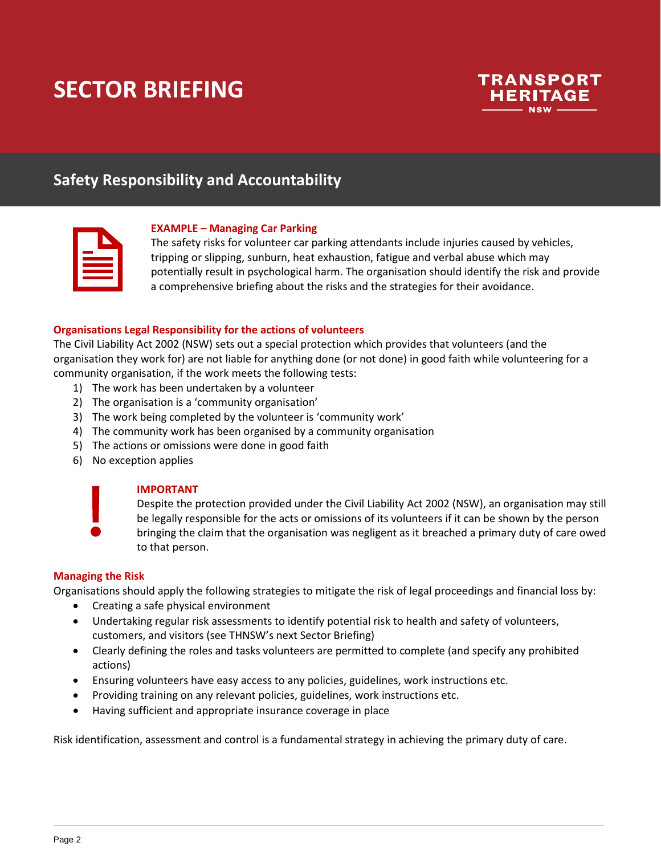# **SECTOR BRIEFING**



## **Safety Responsibility and Accountability**

#### **EXAMPLE – Managing Car Parking**

The safety risks for volunteer car parking attendants include injuries caused by vehicles, tripping or slipping, sunburn, heat exhaustion, fatigue and verbal abuse which may potentially result in psychological harm. The organisation should identify the risk and provide a comprehensive briefing about the risks and the strategies for their avoidance.

#### **Organisations Legal Responsibility for the actions of volunteers**

The Civil Liability Act 2002 (NSW) sets out a special protection which provides that volunteers (and the organisation they work for) are not liable for anything done (or not done) in good faith while volunteering for a community organisation, if the work meets the following tests:

- 1) The work has been undertaken by a volunteer
- 2) The organisation is a 'community organisation'
- 3) The work being completed by the volunteer is 'community work'
- 4) The community work has been organised by a community organisation
- 5) The actions or omissions were done in good faith
- 6) No exception applies



#### **IMPORTANT**

Despite the protection provided under the Civil Liability Act 2002 (NSW), an organisation may still be legally responsible for the acts or omissions of its volunteers if it can be shown by the person bringing the claim that the organisation was negligent as it breached a primary duty of care owed to that person.

#### **Managing the Risk**

Organisations should apply the following strategies to mitigate the risk of legal proceedings and financial loss by:

- Creating a safe physical environment
- Undertaking regular risk assessments to identify potential risk to health and safety of volunteers, customers, and visitors (see THNSW's next Sector Briefing)
- Clearly defining the roles and tasks volunteers are permitted to complete (and specify any prohibited actions)
- Ensuring volunteers have easy access to any policies, guidelines, work instructions etc.
- Providing training on any relevant policies, guidelines, work instructions etc.
- Having sufficient and appropriate insurance coverage in place

Risk identification, assessment and control is a fundamental strategy in achieving the primary duty of care.